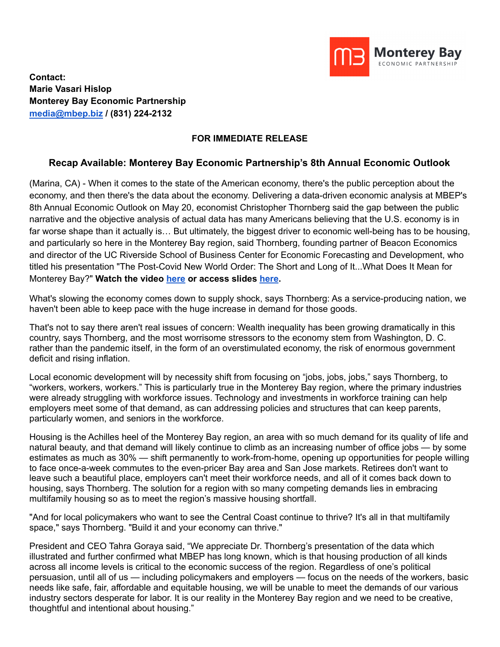

**Contact: Marie Vasari Hislop Monterey Bay Economic Partnership [media@mbep.biz](mailto:media@mbep.biz) / (831) 224-2132**

## **FOR IMMEDIATE RELEASE**

## **Recap Available: Monterey Bay Economic Partnership's 8th Annual Economic Outlook**

(Marina, CA) - When it comes to the state of the American economy, there's the public perception about the economy, and then there's the data about the economy. Delivering a data-driven economic analysis at MBEP's 8th Annual Economic Outlook on May 20, economist Christopher Thornberg said the gap between the public narrative and the objective analysis of actual data has many Americans believing that the U.S. economy is in far worse shape than it actually is… But ultimately, the biggest driver to economic well-being has to be housing, and particularly so here in the Monterey Bay region, said Thornberg, founding partner of Beacon Economics and director of the UC Riverside School of Business Center for Economic Forecasting and Development, who titled his presentation "The Post-Covid New World Order: The Short and Long of It...What Does It Mean for Monterey Bay?" **Watch the video [here](https://www.youtube.com/watch?v=ksR0qL5_G4A) or access slides [here](https://mbep.biz/wp-content/uploads/2022/05/2022.05.20_MBThornberg.pdf).**

What's slowing the economy comes down to supply shock, says Thornberg: As a service-producing nation, we haven't been able to keep pace with the huge increase in demand for those goods.

That's not to say there aren't real issues of concern: Wealth inequality has been growing dramatically in this country, says Thornberg, and the most worrisome stressors to the economy stem from Washington, D. C. rather than the pandemic itself, in the form of an overstimulated economy, the risk of enormous government deficit and rising inflation.

Local economic development will by necessity shift from focusing on "jobs, jobs, jobs," says Thornberg, to "workers, workers, workers." This is particularly true in the Monterey Bay region, where the primary industries were already struggling with workforce issues. Technology and investments in workforce training can help employers meet some of that demand, as can addressing policies and structures that can keep parents, particularly women, and seniors in the workforce.

Housing is the Achilles heel of the Monterey Bay region, an area with so much demand for its quality of life and natural beauty, and that demand will likely continue to climb as an increasing number of office jobs — by some estimates as much as 30% — shift permanently to work-from-home, opening up opportunities for people willing to face once-a-week commutes to the even-pricer Bay area and San Jose markets. Retirees don't want to leave such a beautiful place, employers can't meet their workforce needs, and all of it comes back down to housing, says Thornberg. The solution for a region with so many competing demands lies in embracing multifamily housing so as to meet the region's massive housing shortfall.

"And for local policymakers who want to see the Central Coast continue to thrive? It's all in that multifamily space," says Thornberg. "Build it and your economy can thrive."

President and CEO Tahra Goraya said, "We appreciate Dr. Thornberg's presentation of the data which illustrated and further confirmed what MBEP has long known, which is that housing production of all kinds across all income levels is critical to the economic success of the region. Regardless of one's political persuasion, until all of us — including policymakers and employers — focus on the needs of the workers, basic needs like safe, fair, affordable and equitable housing, we will be unable to meet the demands of our various industry sectors desperate for labor. It is our reality in the Monterey Bay region and we need to be creative, thoughtful and intentional about housing."